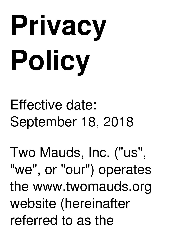# **Privacy Policy**

Effective date: September 18, 2018

Two Mauds, Inc. ("us" , "we" , or "our") operates the www.twomauds.org website (hereinafter referred to as the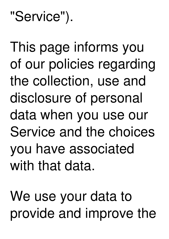### "Service").

This page informs you of our policies regarding the collection, use and disclosure of personal data when you use our Service and the choices you have associated with that data.

We use your data to provide and improve the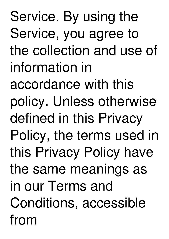Service. By using the Service, you agree to the collection and use of information in accordance with this policy. Unless otherwise defined in this Privacy Policy, the terms used in this Privacy Policy have the same meanings as in our Terms and Conditions, accessible from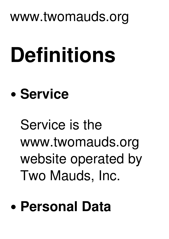#### www.twomauds.org

## **Definitions**

### **Service**

### Service is the www.twomauds.org website operated by Two Mauds, Inc.

**Personal Data**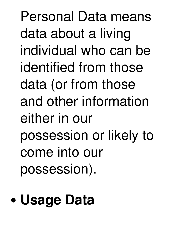Personal Data means data about a living individual who can be identified from those data (or from those and other information either in our possession or likely to come into our possession).

### **Usage Data**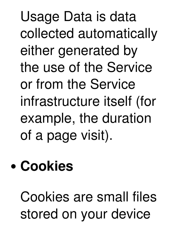Usage Data is data collected automatically either generated by the use of the Service or from the Service infrastructure itself (for example, the duration of a page visit).

**Cookies**

Cookies are small files stored on your device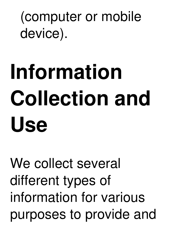(computer or mobile device).

## **Information Collection and Use**

We collect several different types of information for various purposes to provide and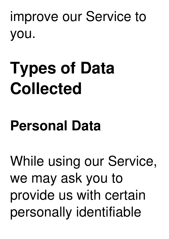improve our Service to you.

### **Types of Data Collected**

### **Personal Data**

While using our Service, we may ask you to provide us with certain personally identifiable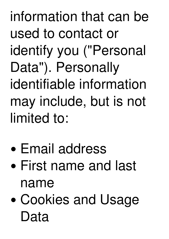information that can be used to contact or identify you ("Personal Data"). Personally identifiable information may include, but is not limited to:

- Email address
- First name and last name
- Cookies and Usage Data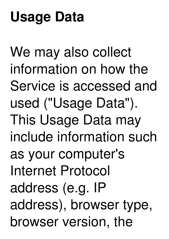### **Usage Data**

We may also collect information on how the Service is accessed and used ("Usage Data"). This Usage Data may include information such as your computer's Internet Protocol address (e.g. IP address), browser type, browser version, the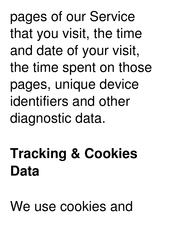pages of our Service that you visit, the time and date of your visit, the time spent on those pages, unique device identifiers and other diagnostic data.

### **Tracking & Cookies Data**

We use cookies and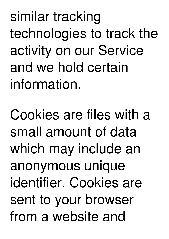similar tracking technologies to track the activity on our Service and we hold certain information.

Cookies are files with a small amount of data which may include an anonymous unique identifier. Cookies are sent to your browser from a website and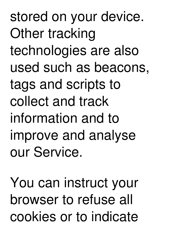stored on your device. Other tracking technologies are also used such as beacons, tags and scripts to collect and track information and to improve and analyse our Service.

You can instruct your browser to refuse all cookies or to indicate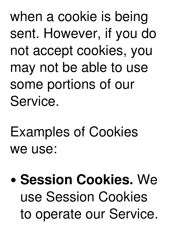when a cookie is being sent. However, if you do not accept cookies, you may not be able to use some portions of our Service.

Examples of Cookies we use:

**Session Cookies.** We use Session Cookies to operate our Service.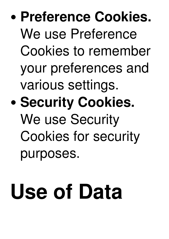- **Preference Cookies.** We use Preference Cookies to remember your preferences and various settings.
- **Security Cookies.** We use Security Cookies for security purposes.

## **Use of Data**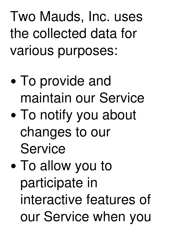Two Mauds, Inc. uses the collected data for various purposes:

- To provide and maintain our Service
- To notify you about changes to our Service
- To allow you to participate in interactive features of our Service when you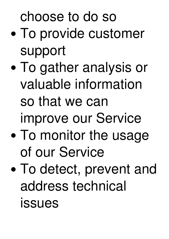## choose to do so

- To provide customer support
- To gather analysis or valuable information so that we can improve our Service
- To monitor the usage of our Service
- To detect, prevent and address technical issues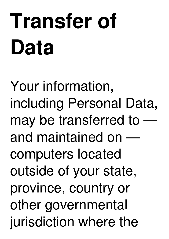## **Transfer of Data**

Your information, including Personal Data, may be transferred to and maintained on computers located outside of your state, province, country or other governmental jurisdiction where the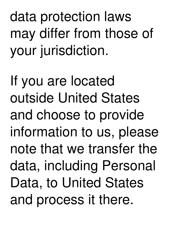data protection laws may differ from those of your jurisdiction.

If you are located outside United States and choose to provide information to us, please note that we transfer the data, including Personal Data, to United States and process it there.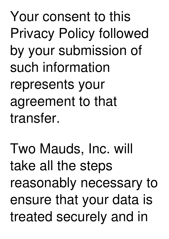Your consent to this Privacy Policy followed by your submission of such information represents your agreement to that transfer.

Two Mauds, Inc. will take all the steps reasonably necessary to ensure that your data is treated securely and in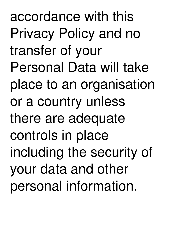accordance with this Privacy Policy and no transfer of your Personal Data will take place to an organisation or a country unless there are adequate controls in place including the security of your data and other personal information.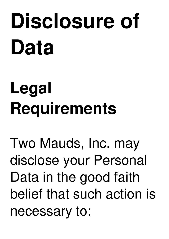## **Disclosure of Data**

### **Legal Requirements**

Two Mauds, Inc. may disclose your Personal Data in the good faith belief that such action is necessary to: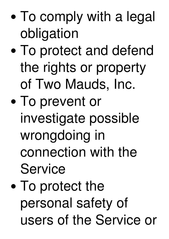- To comply with a legal obligation
- To protect and defend the rights or property of Two Mauds, Inc.
- To prevent or investigate possible wrongdoing in connection with the Service
- To protect the personal safety of users of the Service or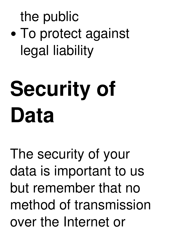the public To protect against legal liability

## **Security of Data**

The security of your data is important to us but remember that no method of transmission over the Internet or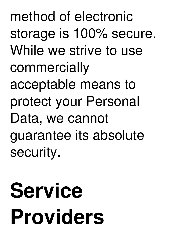method of electronic storage is 100% secure. While we strive to use commercially acceptable means to protect your Personal Data, we cannot guarantee its absolute security.

## **Service Providers**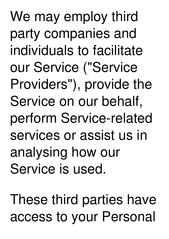We may employ third party companies and individuals to facilitate our Service ("Service Providers"), provide the Service on our behalf, perform Service-related services or assist us in analysing how our Service is used.

These third parties have access to your Personal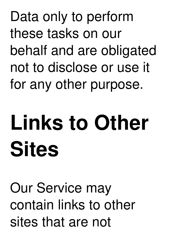Data only to perform these tasks on our behalf and are obligated not to disclose or use it for any other purpose.

## **Links to Other Sites**

Our Service may contain links to other sites that are not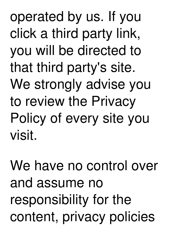operated by us. If you click a third party link, you will be directed to that third party's site. We strongly advise you to review the Privacy Policy of every site you visit.

We have no control over and assume no responsibility for the content, privacy policies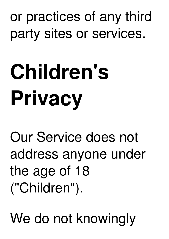or practices of any third party sites or services.

## **Children's Privacy**

Our Service does not address anyone under the age of 18 ("Children").

We do not knowingly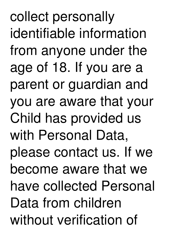collect personally identifiable information from anyone under the age of 18. If you are a parent or guardian and you are aware that your Child has provided us with Personal Data, please contact us. If we become aware that we have collected Personal Data from children without verification of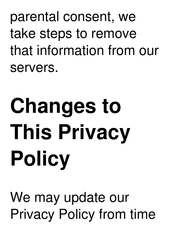parental consent, we take steps to remove that information from our servers.

## **Changes to This Privacy Policy**

We may update our Privacy Policy from time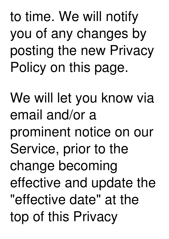to time. We will notify you of any changes by posting the new Privacy Policy on this page.

We will let you know via email and/or a prominent notice on our Service, prior to the change becoming effective and update the "effective date" at the top of this Privacy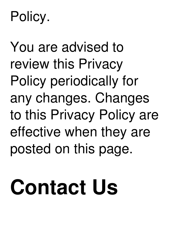### Policy.

### You are advised to review this Privacy Policy periodically for any changes. Changes to this Privacy Policy are effective when they are posted on this page.

### **Contact Us**